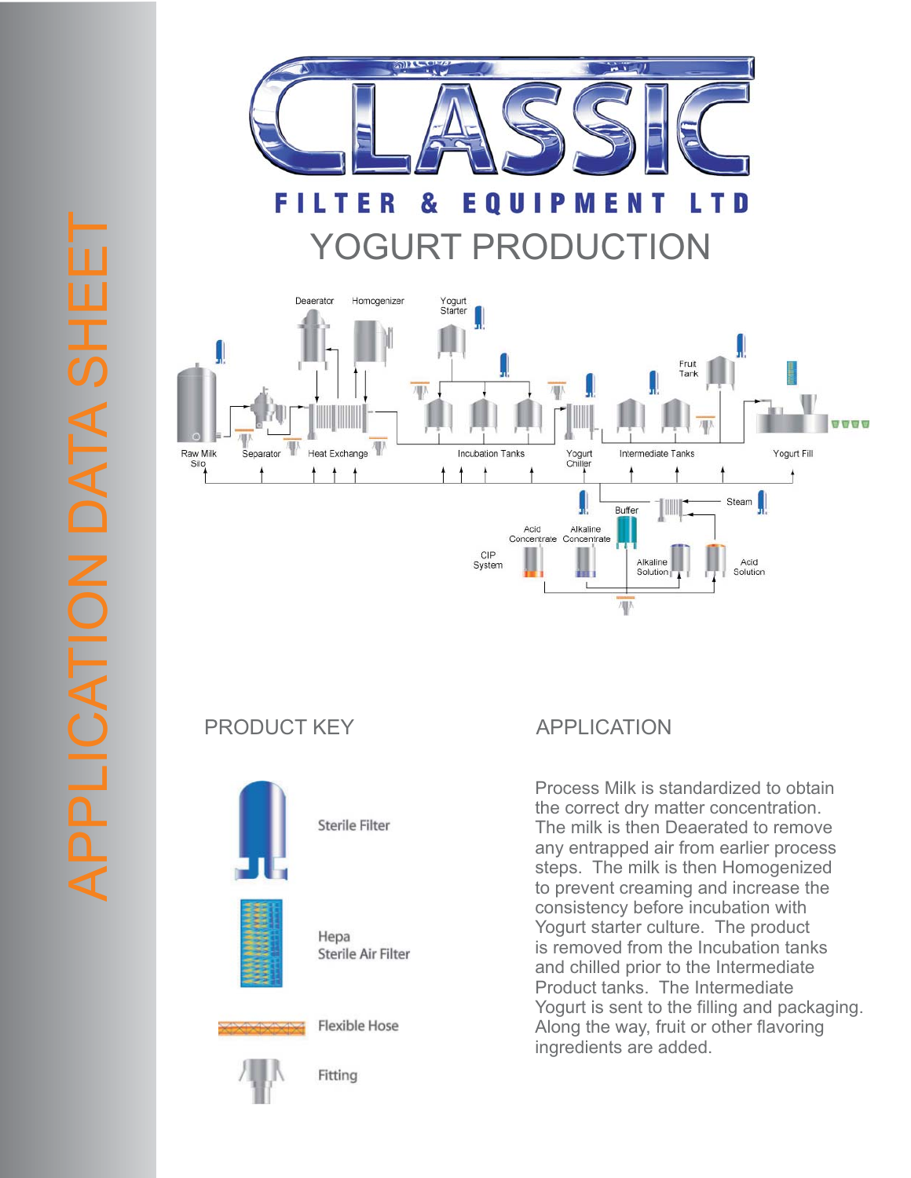

FILTE E O U I R & P M E D YOGURT PRODUCTION



## PRODUCT KEY APPLICATION





Hepa Sterile Air Filter

**Sterile Filter** 



**Flexible Hose** 



Fitting

Process Milk is standardized to obtain the correct dry matter concentration. The milk is then Deaerated to remove any entrapped air from earlier process steps. The milk is then Homogenized to prevent creaming and increase the consistency before incubation with Yogurt starter culture. The product is removed from the Incubation tanks and chilled prior to the Intermediate Product tanks. The Intermediate Yogurt is sent to the filling and packaging. Along the way, fruit or other flavoring ingredients are added.